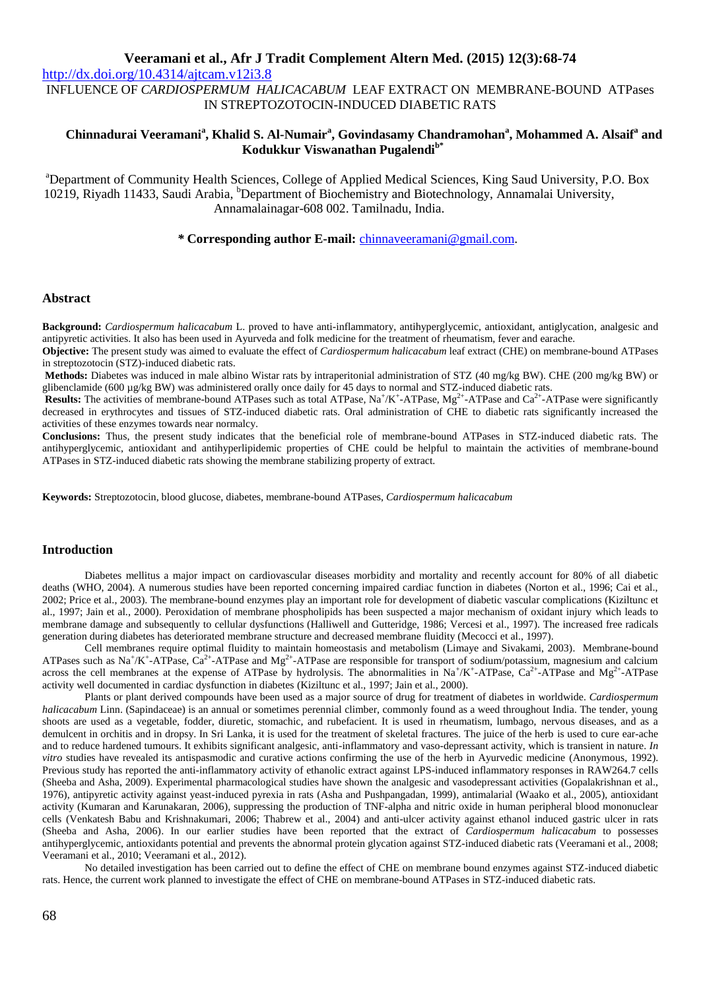<http://dx.doi.org/10.4314/ajtcam.v12i3.8>

INFLUENCE OF *CARDIOSPERMUM HALICACABUM* LEAF EXTRACT ON MEMBRANE-BOUND ATPases IN STREPTOZOTOCIN-INDUCED DIABETIC RATS

## **Chinnadurai Veeramani<sup>a</sup> , Khalid S. Al-Numair<sup>a</sup> , Govindasamy Chandramohan<sup>a</sup> , Mohammed A. Alsaif<sup>a</sup> and Kodukkur Viswanathan Pugalendib\***

<sup>a</sup>Department of Community Health Sciences, College of Applied Medical Sciences, King Saud University, P.O. Box 10219, Riyadh 11433, Saudi Arabia, <sup>b</sup>Department of Biochemistry and Biotechnology, Annamalai University, Annamalainagar-608 002. Tamilnadu, India.

*\** **Corresponding author E-mail:** [chinnaveeramani@gmail.com.](mailto:chinnaveeramani@gmail.com)

### **Abstract**

**Background:** *Cardiospermum halicacabum* L. proved to have anti-inflammatory, antihyperglycemic, antioxidant, antiglycation, analgesic and antipyretic activities. It also has been used in Ayurveda and folk medicine for the treatment of rheumatism, fever and earache.

**Objective:** The present study was aimed to evaluate the effect of *Cardiospermum halicacabum* leaf extract (CHE) on membrane-bound ATPases in streptozotocin (STZ)-induced diabetic rats.

**Methods:** Diabetes was induced in male albino Wistar rats by intraperitonial administration of STZ (40 mg/kg BW). CHE (200 mg/kg BW) or glibenclamide (600 µg/kg BW) was administered orally once daily for 45 days to normal and STZ-induced diabetic rats.

**Results:** The activities of membrane-bound ATPases such as total ATPase,  $Na^+/K^+$ -ATPase,  $Mg^{2+}$ -ATPase and  $Ca^{2+}$ -ATPase were significantly decreased in erythrocytes and tissues of STZ-induced diabetic rats. Oral administration of CHE to diabetic rats significantly increased the activities of these enzymes towards near normalcy.

**Conclusions:** Thus, the present study indicates that the beneficial role of membrane-bound ATPases in STZ-induced diabetic rats. The antihyperglycemic, antioxidant and antihyperlipidemic properties of CHE could be helpful to maintain the activities of membrane-bound ATPases in STZ-induced diabetic rats showing the membrane stabilizing property of extract.

**Keywords:** Streptozotocin, blood glucose, diabetes, membrane-bound ATPases, *Cardiospermum halicacabum*

### **Introduction**

Diabetes mellitus a major impact on cardiovascular diseases morbidity and mortality and recently account for 80% of all diabetic deaths (WHO, 2004). A numerous studies have been reported concerning impaired cardiac function in diabetes (Norton et al., 1996; Cai et al., 2002; Price et al., 2003). The membrane-bound enzymes play an important role for development of diabetic vascular complications (Kiziltunc et al., 1997; Jain et al., 2000). Peroxidation of membrane phospholipids has been suspected a major mechanism of oxidant injury which leads to membrane damage and subsequently to cellular dysfunctions (Halliwell and Gutteridge, 1986; Vercesi et al., 1997). The increased free radicals generation during diabetes has deteriorated membrane structure and decreased membrane fluidity (Mecocci et al., 1997).

Cell membranes require optimal fluidity to maintain homeostasis and metabolism (Limaye and Sivakami, 2003). Membrane-bound ATPases such as Na<sup>+</sup>/K<sup>+</sup>-ATPase, Ca<sup>2+</sup>-ATPase and Mg<sup>2+</sup>-ATPase are responsible for transport of sodium/potassium, magnesium and calcium across the cell membranes at the expense of ATPase by hydrolysis. The abnormalities in  $Na^+/K^+$ -ATPase,  $Ca^{2+}$ -ATPase and  $Mg^{2+}$ -ATPase activity well documented in cardiac dysfunction in diabetes (Kiziltunc et al., 1997; Jain et al., 2000).

Plants or plant derived compounds have been used as a major source of drug for treatment of diabetes in worldwide. *Cardiospermum halicacabum* Linn. (Sapindaceae) is an annual or sometimes perennial climber, commonly found as a weed throughout India. The tender, young shoots are used as a vegetable, fodder, diuretic, stomachic, and rubefacient. It is used in rheumatism, lumbago, nervous diseases, and as a demulcent in orchitis and in dropsy. In Sri Lanka, it is used for the treatment of skeletal fractures. The juice of the herb is used to cure ear-ache and to reduce hardened tumours. It exhibits significant analgesic, anti-inflammatory and vaso-depressant activity, which is transient in nature. *In vitro* studies have revealed its antispasmodic and curative actions confirming the use of the herb in Ayurvedic medicine (Anonymous, 1992). Previous study has reported the anti-inflammatory activity of ethanolic extract against LPS-induced inflammatory responses in RAW264.7 cells (Sheeba and Asha, 2009). Experimental pharmacological studies have shown the analgesic and vasodepressant activities (Gopalakrishnan et al., 1976), antipyretic activity against yeast-induced pyrexia in rats (Asha and Pushpangadan, 1999), antimalarial (Waako et al., 2005), antioxidant activity (Kumaran and Karunakaran, 2006), suppressing the production of TNF-alpha and nitric oxide in human peripheral blood mononuclear cells (Venkatesh Babu and Krishnakumari, 2006; Thabrew et al., 2004) and anti-ulcer activity against ethanol induced gastric ulcer in rats (Sheeba and Asha, 2006). In our earlier studies have been reported that the extract of *Cardiospermum halicacabum* to possesses antihyperglycemic, antioxidants potential and prevents the abnormal protein glycation against STZ-induced diabetic rats (Veeramani et al., 2008; Veeramani et al., 2010; Veeramani et al., 2012).

No detailed investigation has been carried out to define the effect of CHE on membrane bound enzymes against STZ-induced diabetic rats. Hence, the current work planned to investigate the effect of CHE on membrane-bound ATPases in STZ-induced diabetic rats.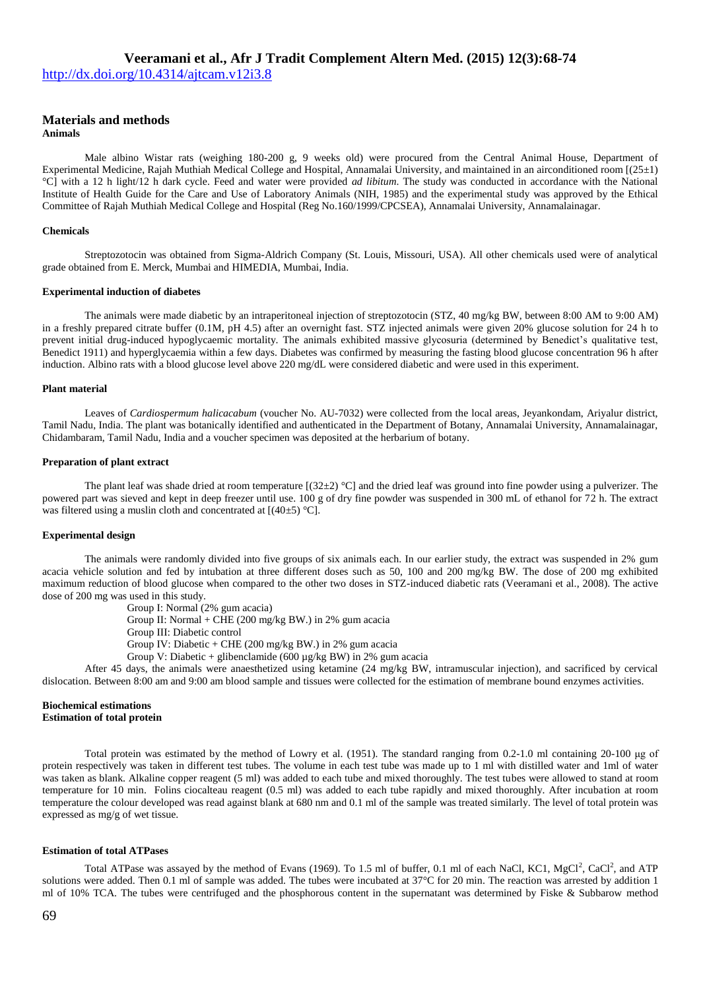<http://dx.doi.org/10.4314/ajtcam.v12i3.8>

# **Materials and methods**

**Animals**

Male albino Wistar rats (weighing 180-200 g, 9 weeks old) were procured from the Central Animal House, Department of Experimental Medicine, Rajah Muthiah Medical College and Hospital, Annamalai University, and maintained in an airconditioned room [(25±1) °C] with a 12 h light/12 h dark cycle. Feed and water were provided *ad libitum*. The study was conducted in accordance with the National Institute of Health Guide for the Care and Use of Laboratory Animals (NIH, 1985) and the experimental study was approved by the Ethical Committee of Rajah Muthiah Medical College and Hospital (Reg No.160/1999/CPCSEA), Annamalai University, Annamalainagar.

#### **Chemicals**

Streptozotocin was obtained from Sigma-Aldrich Company (St. Louis, Missouri, USA). All other chemicals used were of analytical grade obtained from E. Merck, Mumbai and HIMEDIA, Mumbai, India.

#### **Experimental induction of diabetes**

The animals were made diabetic by an intraperitoneal injection of streptozotocin (STZ, 40 mg/kg BW, between 8:00 AM to 9:00 AM) in a freshly prepared citrate buffer (0.1M, pH 4.5) after an overnight fast. STZ injected animals were given 20% glucose solution for 24 h to prevent initial drug-induced hypoglycaemic mortality. The animals exhibited massive glycosuria (determined by Benedict's qualitative test, Benedict 1911) and hyperglycaemia within a few days. Diabetes was confirmed by measuring the fasting blood glucose concentration 96 h after induction. Albino rats with a blood glucose level above 220 mg/dL were considered diabetic and were used in this experiment.

#### **Plant material**

Leaves of *Cardiospermum halicacabum* (voucher No. AU-7032) were collected from the local areas, Jeyankondam, Ariyalur district, Tamil Nadu, India. The plant was botanically identified and authenticated in the Department of Botany, Annamalai University, Annamalainagar, Chidambaram, Tamil Nadu, India and a voucher specimen was deposited at the herbarium of botany.

#### **Preparation of plant extract**

The plant leaf was shade dried at room temperature  $[(32\pm2)$  °C] and the dried leaf was ground into fine powder using a pulverizer. The powered part was sieved and kept in deep freezer until use. 100 g of dry fine powder was suspended in 300 mL of ethanol for 72 h. The extract was filtered using a muslin cloth and concentrated at  $[(40\pm5) °C]$ .

### **Experimental design**

The animals were randomly divided into five groups of six animals each. In our earlier study, the extract was suspended in 2% gum acacia vehicle solution and fed by intubation at three different doses such as 50, 100 and 200 mg/kg BW. The dose of 200 mg exhibited maximum reduction of blood glucose when compared to the other two doses in STZ-induced diabetic rats (Veeramani et al., 2008). The active dose of 200 mg was used in this study.

Group I: Normal (2% gum acacia)

Group II: Normal + CHE (200 mg/kg BW.) in 2% gum acacia

Group III: Diabetic control

Group IV: Diabetic + CHE (200 mg/kg BW.) in 2% gum acacia

Group V: Diabetic + glibenclamide (600  $\mu$ g/kg BW) in 2% gum acacia

After 45 days, the animals were anaesthetized using ketamine (24 mg/kg BW, intramuscular injection), and sacrificed by cervical dislocation. Between 8:00 am and 9:00 am blood sample and tissues were collected for the estimation of membrane bound enzymes activities.

#### **Biochemical estimations Estimation of total protein**

Total protein was estimated by the method of Lowry et al. (1951). The standard ranging from 0.2-1.0 ml containing 20-100 μg of protein respectively was taken in different test tubes. The volume in each test tube was made up to 1 ml with distilled water and 1ml of water was taken as blank. Alkaline copper reagent (5 ml) was added to each tube and mixed thoroughly. The test tubes were allowed to stand at room temperature for 10 min. Folins ciocalteau reagent (0.5 ml) was added to each tube rapidly and mixed thoroughly. After incubation at room temperature the colour developed was read against blank at 680 nm and 0.1 ml of the sample was treated similarly. The level of total protein was expressed as mg/g of wet tissue.

#### **Estimation of total ATPases**

Total ATPase was assayed by the method of Evans (1969). To 1.5 ml of buffer, 0.1 ml of each NaCl, KC1, MgCl<sup>2</sup>, CaCl<sup>2</sup>, and ATP solutions were added. Then 0.1 ml of sample was added. The tubes were incubated at 37°C for 20 min. The reaction was arrested by addition 1 ml of 10% TCA. The tubes were centrifuged and the phosphorous content in the supernatant was determined by Fiske & Subbarow method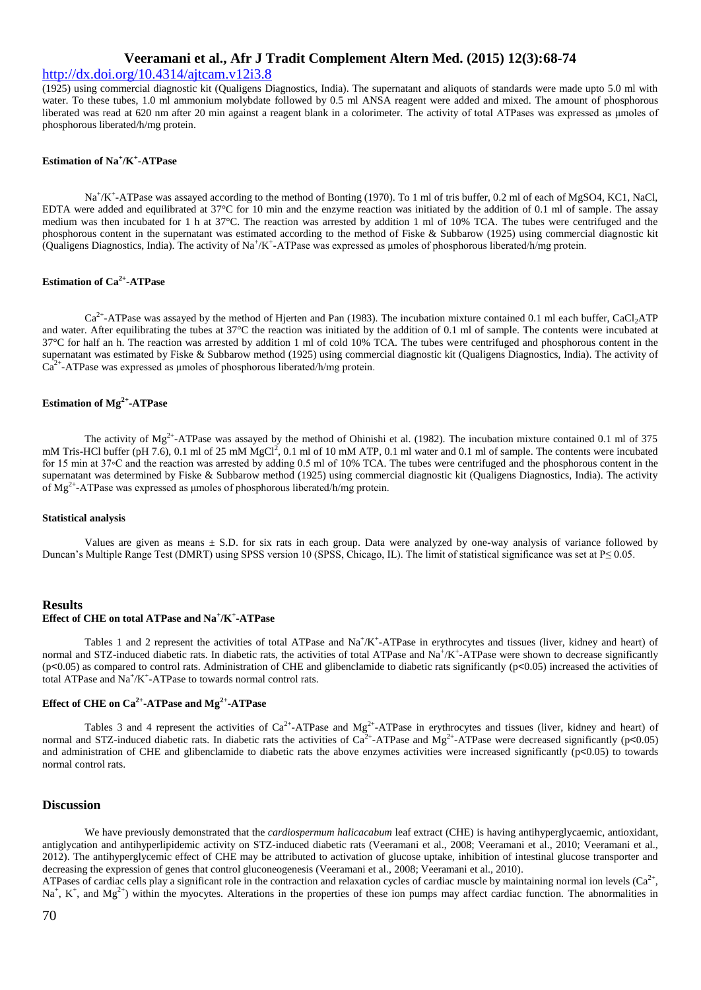### <http://dx.doi.org/10.4314/ajtcam.v12i3.8>

(1925) using commercial diagnostic kit (Qualigens Diagnostics, India). The supernatant and aliquots of standards were made upto 5.0 ml with water. To these tubes, 1.0 ml ammonium molybdate followed by 0.5 ml ANSA reagent were added and mixed. The amount of phosphorous liberated was read at 620 nm after 20 min against a reagent blank in a colorimeter. The activity of total ATPases was expressed as μmoles of phosphorous liberated/h/mg protein.

### **Estimation of Na<sup>+</sup> /K + -ATPase**

Na<sup>+</sup>/K<sup>+</sup>-ATPase was assayed according to the method of Bonting (1970). To 1 ml of tris buffer, 0.2 ml of each of MgSO4, KC1, NaCl, EDTA were added and equilibrated at 37°C for 10 min and the enzyme reaction was initiated by the addition of 0.1 ml of sample. The assay medium was then incubated for 1 h at 37°C. The reaction was arrested by addition 1 ml of 10% TCA. The tubes were centrifuged and the phosphorous content in the supernatant was estimated according to the method of Fiske & Subbarow (1925) using commercial diagnostic kit (Qualigens Diagnostics, India). The activity of  $Na^+/K^+$ -ATPase was expressed as umoles of phosphorous liberated/h/mg protein.

### **Estimation of Ca2+ -ATPase**

 $Ca^{2+}$ -ATPase was assayed by the method of Hjerten and Pan (1983). The incubation mixture contained 0.1 ml each buffer, CaCl<sub>2</sub>ATP and water. After equilibrating the tubes at 37°C the reaction was initiated by the addition of 0.1 ml of sample. The contents were incubated at 37°C for half an h. The reaction was arrested by addition 1 ml of cold 10% TCA. The tubes were centrifuged and phosphorous content in the supernatant was estimated by Fiske & Subbarow method (1925) using commercial diagnostic kit (Qualigens Diagnostics, India). The activity of  $Ca<sup>2+</sup>$ -ATPase was expressed as µmoles of phosphorous liberated/h/mg protein.

### **Estimation of Mg2+ -ATPase**

The activity of  $Mg^{2+}$ -ATPase was assayed by the method of Ohinishi et al. (1982). The incubation mixture contained 0.1 ml of 375 mM Tris-HCl buffer (pH 7.6), 0.1 ml of 25 mM MgCl<sup>2</sup>, 0.1 ml of 10 mM ATP, 0.1 ml water and 0.1 ml of sample. The contents were incubated for 15 min at 37◦C and the reaction was arrested by adding 0.5 ml of 10% TCA. The tubes were centrifuged and the phosphorous content in the supernatant was determined by Fiske & Subbarow method (1925) using commercial diagnostic kit (Qualigens Diagnostics, India). The activity of Mg<sup>2+</sup>-ATPase was expressed as μmoles of phosphorous liberated/h/mg protein.

#### **Statistical analysis**

Values are given as means  $\pm$  S.D. for six rats in each group. Data were analyzed by one-way analysis of variance followed by Duncan's Multiple Range Test (DMRT) using SPSS version 10 (SPSS, Chicago, IL). The limit of statistical significance was set at P≤ 0.05.

### **Results Effect of CHE on total ATPase and Na<sup>+</sup> /K<sup>+</sup> -ATPase**

Tables 1 and 2 represent the activities of total ATPase and  $\text{Na}^+\text{/K}^+$ -ATPase in erythrocytes and tissues (liver, kidney and heart) of normal and STZ-induced diabetic rats. In diabetic rats, the activities of total ATPase and  $Na^+/K^+$ -ATPase were shown to decrease significantly  $(p<0.05)$  as compared to control rats. Administration of CHE and glibenclamide to diabetic rats significantly  $(p<0.05)$  increased the activities of total ATPase and  $Na^+/K^+$ -ATPase to towards normal control rats.

### **Effect of CHE on Ca2+ -ATPase and Mg2+ -ATPase**

Tables 3 and 4 represent the activities of  $Ca^{2+}$ -ATPase and Mg<sup>2+</sup>-ATPase in erythrocytes and tissues (liver, kidney and heart) of normal and STZ-induced diabetic rats. In diabetic rats the activities of  $Ca^{2+}$ -ATPase and  $Mg^{2+}$ -ATPase were decreased significantly (p<0.05) and administration of CHE and glibenclamide to diabetic rats the above enzymes activities were increased significantly (p<0.05) to towards normal control rats.

### **Discussion**

We have previously demonstrated that the *cardiospermum halicacabum* leaf extract (CHE) is having antihyperglycaemic, antioxidant, antiglycation and antihyperlipidemic activity on STZ-induced diabetic rats (Veeramani et al., 2008; Veeramani et al., 2010; Veeramani et al., 2012). The antihyperglycemic effect of CHE may be attributed to activation of glucose uptake, inhibition of intestinal glucose transporter and decreasing the expression of genes that control gluconeogenesis (Veeramani et al., 2008; Veeramani et al., 2010).

ATPases of cardiac cells play a significant role in the contraction and relaxation cycles of cardiac muscle by maintaining normal ion levels  $(Ca^{2+}$ ,  $\mathrm{Na}^+$ , K<sup>+</sup>, and  $\mathrm{Mg}^{2+}$ ) within the myocytes. Alterations in the properties of these ion pumps may affect cardiac function. The abnormalities in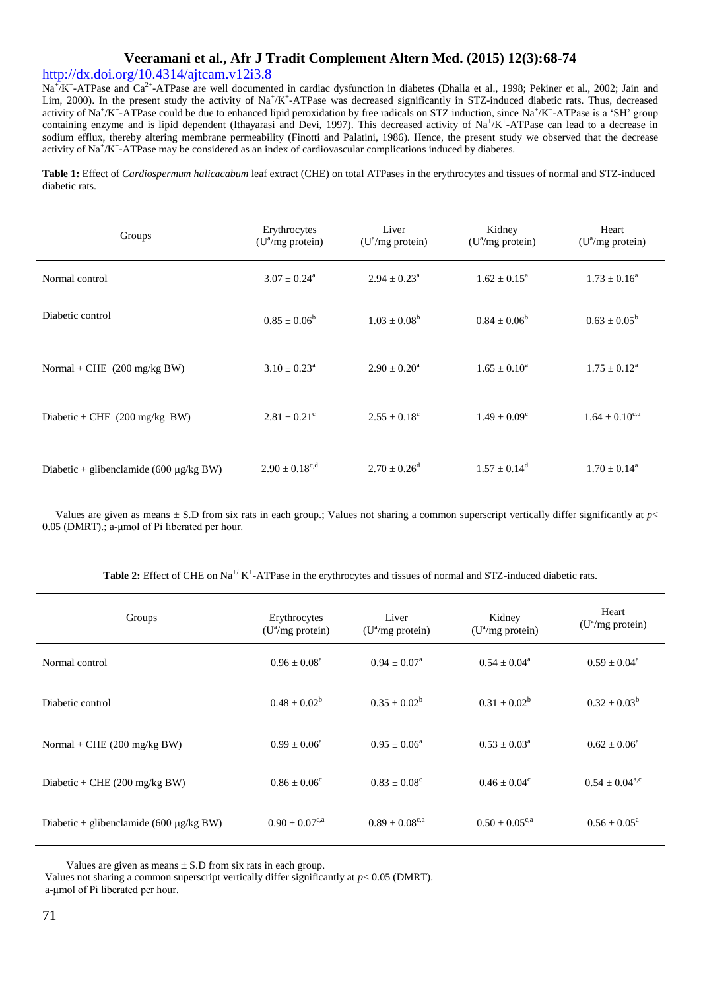## <http://dx.doi.org/10.4314/ajtcam.v12i3.8>

Na<sup>+</sup>/K<sup>+</sup>-ATPase and Ca<sup>2+</sup>-ATPase are well documented in cardiac dysfunction in diabetes (Dhalla et al., 1998; Pekiner et al., 2002; Jain and Lim, 2000). In the present study the activity of Na<sup>+</sup>/K<sup>+</sup>-ATPase was decreased significantly in STZ-induced diabetic rats. Thus, decreased activity of Na<sup>+</sup>/K<sup>+</sup>-ATPase could be due to enhanced lipid peroxidation by free radicals on STZ induction, since Na<sup>+/K+</sup>-ATPase is a 'SH' group containing enzyme and is lipid dependent (Ithayarasi and Devi, 1997). This decreased activity of  $Na^+/K^+$ -ATPase can lead to a decrease in sodium efflux, thereby altering membrane permeability (Finotti and Palatini, 1986). Hence, the present study we observed that the decrease activity of Na<sup>+</sup>/K<sup>+</sup>-ATPase may be considered as an index of cardiovascular complications induced by diabetes.

**Table 1:** Effect of *Cardiospermum halicacabum* leaf extract (CHE) on total ATPases in the erythrocytes and tissues of normal and STZ-induced diabetic rats.

| Groups                                       | Erythrocytes<br>$(U^a/mg$ protein) | Liver<br>$(U^a/mg)$ protein) | Kidney<br>$(U^a/mg$ protein) | Heart<br>$(U^a/mg$ protein) |
|----------------------------------------------|------------------------------------|------------------------------|------------------------------|-----------------------------|
| Normal control                               | $3.07 \pm 0.24^{\circ}$            | $2.94 \pm 0.23^{\circ}$      | $1.62 \pm 0.15^{\text{a}}$   | $1.73 \pm 0.16^a$           |
| Diabetic control                             | $0.85 \pm 0.06^b$                  | $1.03 \pm 0.08^b$            | $0.84 + 0.06^b$              | $0.63 \pm 0.05^b$           |
| Normal + CHE $(200 \text{ mg/kg BW})$        | $3.10 \pm 0.23^{\text{a}}$         | $2.90 \pm 0.20^{\circ}$      | $1.65 \pm 0.10^a$            | $1.75 \pm 0.12^{\text{a}}$  |
| Diabetic + CHE $(200 \text{ mg/kg BW})$      | $2.81 \pm 0.21^{\circ}$            | $2.55 \pm 0.18^c$            | $1.49 + 0.09^{\circ}$        | $1.64 \pm 0.10^{c,a}$       |
| Diabetic + glibenclamide (600 $\mu$ g/kg BW) | $2.90 + 0.18^{c,d}$                | $2.70 + 0.26^d$              | $1.57 + 0.14^d$              | $1.70 \pm 0.14^{\text{a}}$  |

Values are given as means  $\pm$  S.D from six rats in each group.; Values not sharing a common superscript vertically differ significantly at  $p$  < 0.05 (DMRT).; a-μmol of Pi liberated per hour.

| Groups                                       | Erythrocytes<br>$(U^a/mg)$ protein) | Liver<br>$(U^2/mg)$ protein)      | Kidney<br>$(U^2/mg)$ protein)     | Heart<br>$(U^a/mg)$ protein) |
|----------------------------------------------|-------------------------------------|-----------------------------------|-----------------------------------|------------------------------|
| Normal control                               | $0.96 + 0.08^a$                     | $0.94 + 0.07a$                    | $0.54 + 0.04^a$                   | $0.59 \pm 0.04^{\circ}$      |
| Diabetic control                             | $0.48 \pm 0.02^b$                   | $0.35 \pm 0.02^b$                 | $0.31 \pm 0.02^b$                 | $0.32 \pm 0.03^b$            |
| Normal + CHE $(200 \text{ mg/kg BW})$        | $0.99 + 0.06^a$                     | $0.95 + 0.06^a$                   | $0.53 + 0.03^a$                   | $0.62 \pm 0.06^a$            |
| Diabetic + CHE $(200 \text{ mg/kg BW})$      | $0.86 \pm 0.06^{\circ}$             | $0.83 + 0.08^{\circ}$             | $0.46 \pm 0.04^c$                 | $0.54 \pm 0.04^{\text{a,c}}$ |
| Diabetic + glibenclamide (600 $\mu$ g/kg BW) | $0.90 + 0.07^{\text{c},\text{a}}$   | $0.89 + 0.08^{\text{c},\text{a}}$ | $0.50 + 0.05^{\text{c},\text{a}}$ | $0.56 + 0.05^{\circ}$        |

Values are given as means  $\pm$  S.D from six rats in each group.

Values not sharing a common superscript vertically differ significantly at *p*< 0.05 (DMRT).

a-μmol of Pi liberated per hour.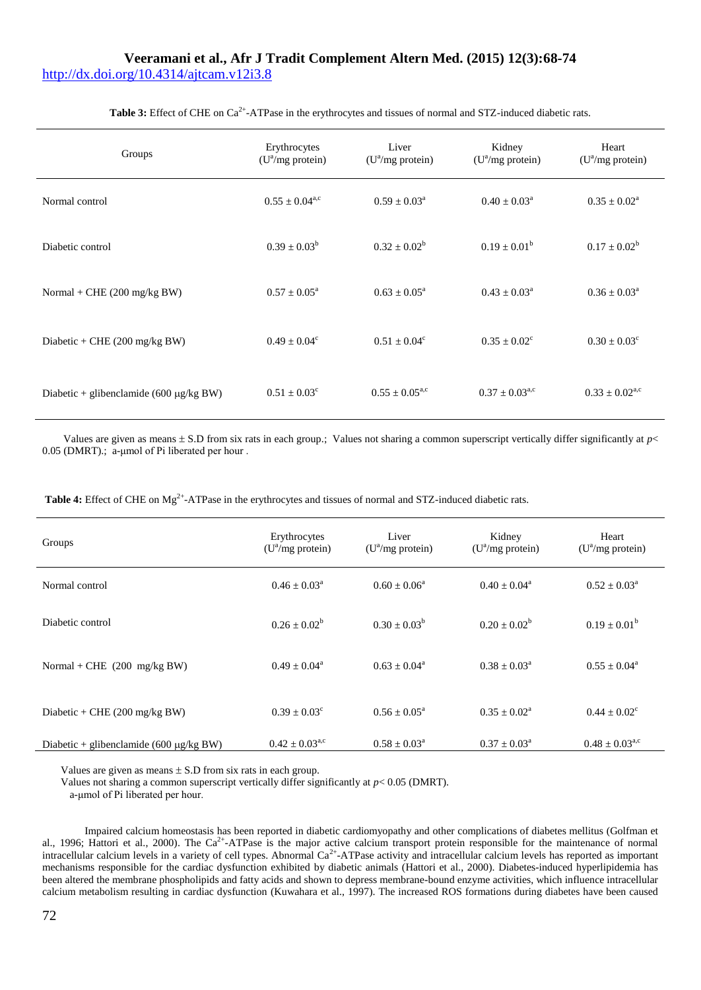## **Veeramani et al., Afr J Tradit Complement Altern Med. (2015) 12(3):68-74** <http://dx.doi.org/10.4314/ajtcam.v12i3.8>

| Groups                                       | Erythrocytes<br>$(U^a/mg$ protein) | Liver<br>$(U^a/mg$ protein)  | Kidney<br>$(U^a/mg$ protein) | Heart<br>(U <sup>a</sup> /mg protein) |
|----------------------------------------------|------------------------------------|------------------------------|------------------------------|---------------------------------------|
| Normal control                               | $0.55 \pm 0.04^{\text{a,c}}$       | $0.59 \pm 0.03^{\circ}$      | $0.40 \pm 0.03^{\text{a}}$   | $0.35 \pm 0.02^{\text{a}}$            |
| Diabetic control                             | $0.39 \pm 0.03^b$                  | $0.32 + 0.02^b$              | $0.19 \pm 0.01^b$            | $0.17 \pm 0.02^b$                     |
| Normal + CHE $(200 \text{ mg/kg BW})$        | $0.57 \pm 0.05^{\text{a}}$         | $0.63 \pm 0.05^{\text{a}}$   | $0.43 \pm 0.03^{\circ}$      | $0.36 \pm 0.03^{\circ}$               |
| Diabetic + CHE $(200 \text{ mg/kg BW})$      | $0.49 \pm 0.04^c$                  | $0.51 \pm 0.04^c$            | $0.35 \pm 0.02^{\circ}$      | $0.30 \pm 0.03^{\circ}$               |
| Diabetic + glibenclamide (600 $\mu$ g/kg BW) | $0.51 \pm 0.03^c$                  | $0.55 \pm 0.05^{\text{a,c}}$ | $0.37 \pm 0.03^{\text{a,c}}$ | $0.33 \pm 0.02^{\text{a,c}}$          |

Table 3: Effect of CHE on Ca<sup>2+</sup>-ATPase in the erythrocytes and tissues of normal and STZ-induced diabetic rats.

Values are given as means  $\pm$  S.D from six rats in each group.; Values not sharing a common superscript vertically differ significantly at  $p$  < 0.05 (DMRT).; a-μmol of Pi liberated per hour .

Table 4: Effect of CHE on Mg<sup>2+</sup>-ATPase in the erythrocytes and tissues of normal and STZ-induced diabetic rats.

| Groups                                       | Erythrocytes<br>$(U^a/mg$ protein) | Liver<br>$(U^a/mg$ protein) | Kidney<br>$(U^2/mg)$ protein) | Heart<br>$(U^a/mg$ protein)  |
|----------------------------------------------|------------------------------------|-----------------------------|-------------------------------|------------------------------|
| Normal control                               | $0.46 \pm 0.03^{\text{a}}$         | $0.60 + 0.06^a$             | $0.40 + 0.04^a$               | $0.52 \pm 0.03^{\text{a}}$   |
| Diabetic control                             | $0.26 + 0.02^b$                    | $0.30 \pm 0.03^b$           | $0.20 + 0.02^b$               | $0.19 \pm 0.01^b$            |
| Normal + CHE $(200 \text{ mg/kg BW})$        | $0.49 + 0.04^a$                    | $0.63 + 0.04^a$             | $0.38 + 0.03^a$               | $0.55 \pm 0.04^{\circ}$      |
| Diabetic + CHE $(200 \text{ mg/kg BW})$      | $0.39 \pm 0.03^c$                  | $0.56 \pm 0.05^{\text{a}}$  | $0.35 + 0.02^a$               | $0.44 \pm 0.02^{\circ}$      |
| Diabetic + glibenclamide (600 $\mu$ g/kg BW) | $0.42 \pm 0.03^{\text{a,c}}$       | $0.58 \pm 0.03^{\circ}$     | $0.37 \pm 0.03^{\text{a}}$    | $0.48 \pm 0.03^{\text{a,c}}$ |

Values are given as means  $\pm$  S.D from six rats in each group.

Values not sharing a common superscript vertically differ significantly at  $p < 0.05$  (DMRT).

a-μmol of Pi liberated per hour.

Impaired calcium homeostasis has been reported in diabetic cardiomyopathy and other complications of diabetes mellitus (Golfman et al., 1996; Hattori et al., 2000). The Ca<sup>2+</sup>-ATPase is the major active calcium transport protein responsible for the maintenance of normal intracellular calcium levels in a variety of cell types. Abnormal  $Ca^{2+}$ -ATPase activity and intracellular calcium levels has reported as important mechanisms responsible for the cardiac dysfunction exhibited by diabetic animals (Hattori et al., 2000). Diabetes-induced hyperlipidemia has been altered the membrane phospholipids and fatty acids and shown to depress membrane-bound enzyme activities, which influence intracellular calcium metabolism resulting in cardiac dysfunction (Kuwahara et al., 1997). The increased ROS formations during diabetes have been caused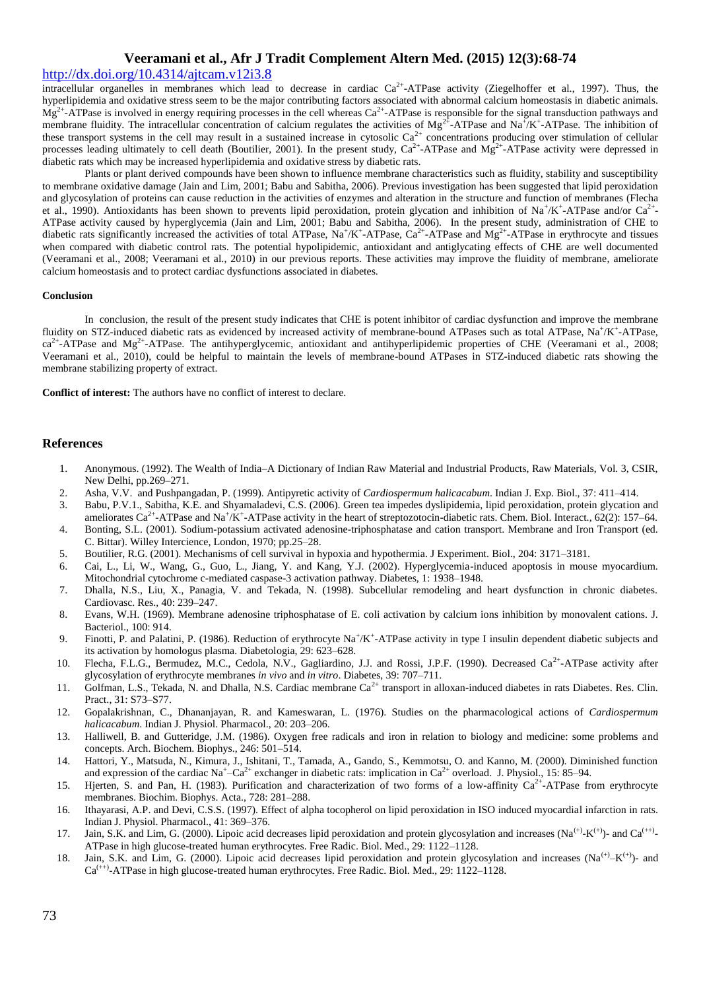## <http://dx.doi.org/10.4314/ajtcam.v12i3.8>

intracellular organelles in membranes which lead to decrease in cardiac  $Ca^{2+}$ -ATPase activity (Ziegelhoffer et al., 1997). Thus, the hyperlipidemia and oxidative stress seem to be the major contributing factors associated with abnormal calcium homeostasis in diabetic animals.  $Mg^{2+}$ -ATPase is involved in energy requiring processes in the cell whereas  $Ca^{2+}$ -ATPase is responsible for the signal transduction pathways and membrane fluidity. The intracellular concentration of calcium regulates the activities of  $Mg^{2+}$ -ATPase and Na<sup>+</sup>/K<sup>+</sup>-ATPase. The inhibition of these transport systems in the cell may result in a sustained increase in cytosolic  $Ca^{2+}$  concentrations producing over stimulation of cellular processes leading ultimately to cell death (Boutilier, 2001). In the present study,  $Ca^{2+}$ -ATPase and  $Mg^{2+}$ -ATPase activity were depressed in diabetic rats which may be increased hyperlipidemia and oxidative stress by diabetic rats.

Plants or plant derived compounds have been shown to influence membrane characteristics such as fluidity, stability and susceptibility to membrane oxidative damage (Jain and Lim, 2001; Babu and Sabitha, 2006). Previous investigation has been suggested that lipid peroxidation and glycosylation of proteins can cause reduction in the activities of enzymes and alteration in the structure and function of membranes (Flecha et al., 1990). Antioxidants has been shown to prevents lipid peroxidation, protein glycation and inhibition of Na<sup>+</sup>/K<sup>+</sup>-ATPase and/or Ca<sup>2+</sup>-ATPase activity caused by hyperglycemia (Jain and Lim, 2001; Babu and Sabitha, 2006). In the present study, administration of CHE to diabetic rats significantly increased the activities of total ATPase,  $\text{Na}^+/\text{K}^+$ -ATPase,  $\text{Ca}^{2+}$ -ATPase and  $\text{Mg}^{2+}$ -ATPase in erythrocyte and tissues when compared with diabetic control rats. The potential hypolipidemic, antioxidant and antiglycating effects of CHE are well documented (Veeramani et al., 2008; Veeramani et al., 2010) in our previous reports. These activities may improve the fluidity of membrane, ameliorate calcium homeostasis and to protect cardiac dysfunctions associated in diabetes.

#### **Conclusion**

In conclusion, the result of the present study indicates that CHE is potent inhibitor of cardiac dysfunction and improve the membrane fluidity on STZ-induced diabetic rats as evidenced by increased activity of membrane-bound ATPases such as total ATPase, Na+/K+-ATPase,  $ca^{2+}$ -ATPase and Mg<sup>2+</sup>-ATPase. The antihyperglycemic, antioxidant and antihyperlipidemic properties of CHE (Veeramani et al., 2008; Veeramani et al., 2010), could be helpful to maintain the levels of membrane-bound ATPases in STZ-induced diabetic rats showing the membrane stabilizing property of extract.

**Conflict of interest:** The authors have no conflict of interest to declare.

### **References**

- 1. Anonymous. (1992). The Wealth of India–A Dictionary of Indian Raw Material and Industrial Products, Raw Materials, Vol. 3, CSIR, New Delhi, pp.269–271.
- 2. Asha, V.V. and Pushpangadan, P. (1999). Antipyretic activity of *Cardiospermum halicacabum*. Indian J. Exp. Biol., 37: 411–414.
- 3. Babu, P.V.1., Sabitha, K.E. and Shyamaladevi, C.S. (2006). Green tea impedes dyslipidemia, lipid peroxidation, protein glycation and ameliorates  $Ca^{2+}$ -ATPase and Na<sup>+</sup>/K<sup>+</sup>-ATPase activity in the heart of streptozotocin-diabetic rats. Chem. Biol. Interact., 62(2): 157–64.
- 4. Bonting, S.L. (2001). Sodium-potassium activated adenosine-triphosphatase and cation transport. Membrane and Iron Transport (ed. C. Bittar). Willey Intercience, London, 1970; pp.25–28.
- 5. Boutilier, R.G. (2001). Mechanisms of cell survival in hypoxia and hypothermia. J Experiment. Biol., 204: 3171–3181.
- 6. Cai, L., Li, W., Wang, G., Guo, L., Jiang, Y. and Kang, Y.J. (2002). Hyperglycemia-induced apoptosis in mouse myocardium. Mitochondrial cytochrome c-mediated caspase-3 activation pathway. Diabetes, 1: 1938–1948.
- 7. Dhalla, N.S., Liu, X., Panagia, V. and Tekada, N. (1998). Subcellular remodeling and heart dysfunction in chronic diabetes. Cardiovasc. Res., 40: 239–247.
- 8. Evans, W.H. (1969). Membrane adenosine triphosphatase of E. coli activation by calcium ions inhibition by monovalent cations. J. Bacteriol., 100: 914.
- 9. Finotti, P. and Palatini, P. (1986). Reduction of erythrocyte Na<sup>+</sup>/K<sup>+</sup>-ATPase activity in type I insulin dependent diabetic subjects and its activation by homologus plasma. Diabetologia, 29: 623–628.
- 10. Flecha, F.L.G., Bermudez, M.C., Cedola, N.V., Gagliardino, J.J. and Rossi, J.P.F. (1990). Decreased Ca<sup>2+</sup>-ATPase activity after glycosylation of erythrocyte membranes *in vivo* and *in vitro*. Diabetes, 39: 707–711.
- 11. Golfman, L.S., Tekada, N. and Dhalla, N.S. Cardiac membrane Ca<sup>2+</sup> transport in alloxan-induced diabetes in rats Diabetes. Res. Clin. Pract., 31: S73–S77.
- 12. Gopalakrishnan, C., Dhananjayan, R. and Kameswaran, L. (1976). Studies on the pharmacological actions of *Cardiospermum halicacabum*. Indian J. Physiol. Pharmacol., 20: 203–206.
- 13. Halliwell, B. and Gutteridge, J.M. (1986). Oxygen free radicals and iron in relation to biology and medicine: some problems and concepts. Arch. Biochem. Biophys., 246: 501–514.
- 14. Hattori, Y., Matsuda, N., Kimura, J., Ishitani, T., Tamada, A., Gando, S., Kemmotsu, O. and Kanno, M. (2000). Diminished function and expression of the cardiac Na<sup>+</sup>-Ca<sup>2+</sup> exchanger in diabetic rats: implication in Ca<sup>2+</sup> overload. J. Physiol., 15: 85–94.
- 15. Hjerten, S. and Pan, H. (1983). Purification and characterization of two forms of a low-affinity  $Ca^{2+}$ -ATPase from erythrocyte membranes. Biochim. Biophys. Acta., 728: 281–288.
- 16. Ithayarasi, A.P. and Devi, C.S.S. (1997). Effect of alpha tocopherol on lipid peroxidation in ISO induced myocardial infarction in rats. Indian J. Physiol. Pharmacol., 41: 369–376.
- 17. Jain, S.K. and Lim, G. (2000). Lipoic acid decreases lipid peroxidation and protein glycosylation and increases (Na<sup>(+)</sup>-K<sup>(+)</sup>)- and Ca<sup>(++)</sup> ATPase in high glucose-treated human erythrocytes. Free Radic. Biol. Med., 29: 1122–1128.
- 18. Jain, S.K. and Lim, G. (2000). Lipoic acid decreases lipid peroxidation and protein glycosylation and increases (Na<sup>(+)</sup>-K<sup>(+)</sup>)- and  $Ca^{(+)}$ <sup>+)</sup>-ATPase in high glucose-treated human erythrocytes. Free Radic. Biol. Med., 29: 1122–1128.